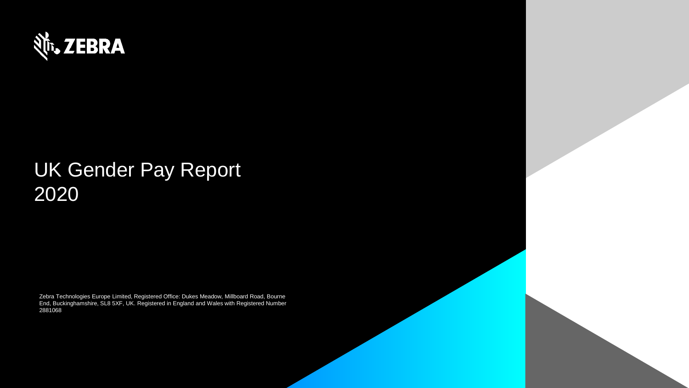

# UK Gender Pay Report 2020

Zebra Technologies Europe Limited, Registered Office: Dukes Meadow, Millboard Road, Bourne End, Buckinghamshire, SL8 5XF, UK. Registered in England and Wales with Registered Number 2881068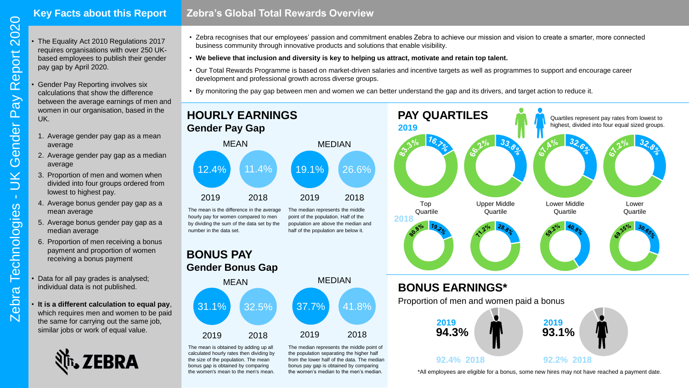## **Key Facts about this Report**

- **Zebra's Global Total Rewards Overview**
- The Equality Act 2010 Regulations 2017 requires organisations with over 250 UKbased employees to publish their gender pay gap by April 2020.
- Gender Pay Reporting involves six calculations that show the difference between the average earnings of men and women in our organisation, based in the UK.
	- 1. Average gender pay gap as a mean average
	- 2. Average gender pay gap as a median average
	- 3. Proportion of men and women when divided into four groups ordered from lowest to highest pay.
	- 4. Average bonus gender pay gap as a mean average
	- 5. Average bonus gender pay gap as a median average
	- 6. Proportion of men receiving a bonus payment and proportion of women receiving a bonus payment
- Data for all pay grades is analysed; individual data is not published.
- **It is a different calculation to equal pay**, which requires men and women to be paid the same for carrying out the same job, similar jobs or work of equal value.



- Zebra recognises that our employees' passion and commitment enables Zebra to achieve our mission and vision to create a smarter, more connected business community through innovative products and solutions that enable visibility.
- **We believe that inclusion and diversity is key to helping us attract, motivate and retain top talent.**
- Our Total Rewards Programme is based on market-driven salaries and incentive targets as well as programmes to support and encourage career development and professional growth across diverse groups.
- By monitoring the pay gap between men and women we can better understand the gap and its drivers, and target action to reduce it.



#### The mean is the difference in the average hourly pay for women compared to men by dividing the sum of the data set by the The median represents the middle point of the population. Half of the population are above the median and half of the population are below it.



number in the data set.



The mean is obtained by adding up all calculated hourly rates then dividing by the size of the population. The mean bonus gap is obtained by comparing the women's mean to the men's mean. The median represents the middle point of the population separating the higher half from the lower half of the data. The median bonus pay gap is obtained by comparing the women's median to the men's median.



\*All employees are eligible for a bonus, some new hires may not have reached a payment date.